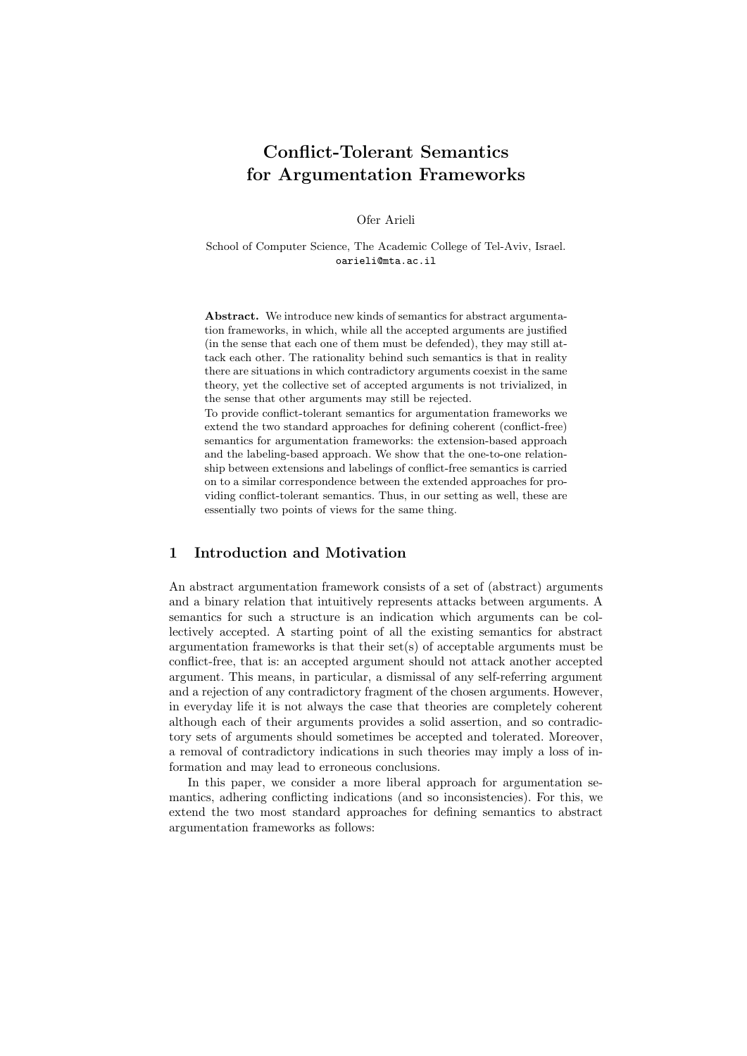# **Conflict-Tolerant Semantics for Argumentation Frameworks**

Ofer Arieli

School of Computer Science, The Academic College of Tel-Aviv, Israel. oarieli@mta.ac.il

**Abstract.** We introduce new kinds of semantics for abstract argumentation frameworks, in which, while all the accepted arguments are justified (in the sense that each one of them must be defended), they may still attack each other. The rationality behind such semantics is that in reality there are situations in which contradictory arguments coexist in the same theory, yet the collective set of accepted arguments is not trivialized, in the sense that other arguments may still be rejected.

To provide conflict-tolerant semantics for argumentation frameworks we extend the two standard approaches for defining coherent (conflict-free) semantics for argumentation frameworks: the extension-based approach and the labeling-based approach. We show that the one-to-one relationship between extensions and labelings of conflict-free semantics is carried on to a similar correspondence between the extended approaches for providing conflict-tolerant semantics. Thus, in our setting as well, these are essentially two points of views for the same thing.

## **1 Introduction and Motivation**

An abstract argumentation framework consists of a set of (abstract) arguments and a binary relation that intuitively represents attacks between arguments. A semantics for such a structure is an indication which arguments can be collectively accepted. A starting point of all the existing semantics for abstract argumentation frameworks is that their set(s) of acceptable arguments must be conflict-free, that is: an accepted argument should not attack another accepted argument. This means, in particular, a dismissal of any self-referring argument and a rejection of any contradictory fragment of the chosen arguments. However, in everyday life it is not always the case that theories are completely coherent although each of their arguments provides a solid assertion, and so contradictory sets of arguments should sometimes be accepted and tolerated. Moreover, a removal of contradictory indications in such theories may imply a loss of information and may lead to erroneous conclusions.

In this paper, we consider a more liberal approach for argumentation semantics, adhering conflicting indications (and so inconsistencies). For this, we extend the two most standard approaches for defining semantics to abstract argumentation frameworks as follows: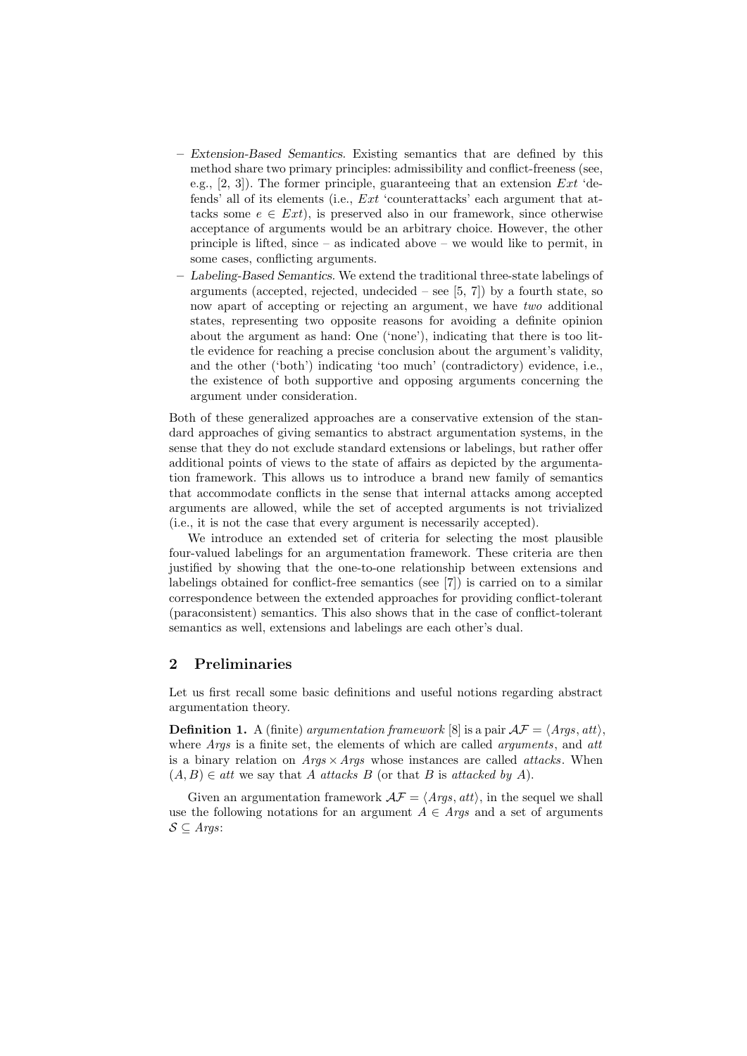- **–** *Extension-Based Semantics.* Existing semantics that are defined by this method share two primary principles: admissibility and conflict-freeness (see, e.g., [2, 3]). The former principle, guaranteeing that an extension *Ext* 'defends' all of its elements (i.e., *Ext* 'counterattacks' each argument that attacks some  $e \in Ext$ , is preserved also in our framework, since otherwise acceptance of arguments would be an arbitrary choice. However, the other principle is lifted, since – as indicated above – we would like to permit, in some cases, conflicting arguments.
- **–** *Labeling-Based Semantics.* We extend the traditional three-state labelings of arguments (accepted, rejected, undecided  $-$  see [5, 7]) by a fourth state, so now apart of accepting or rejecting an argument, we have *two* additional states, representing two opposite reasons for avoiding a definite opinion about the argument as hand: One ('none'), indicating that there is too little evidence for reaching a precise conclusion about the argument's validity, and the other ('both') indicating 'too much' (contradictory) evidence, i.e., the existence of both supportive and opposing arguments concerning the argument under consideration.

Both of these generalized approaches are a conservative extension of the standard approaches of giving semantics to abstract argumentation systems, in the sense that they do not exclude standard extensions or labelings, but rather offer additional points of views to the state of affairs as depicted by the argumentation framework. This allows us to introduce a brand new family of semantics that accommodate conflicts in the sense that internal attacks among accepted arguments are allowed, while the set of accepted arguments is not trivialized (i.e., it is not the case that every argument is necessarily accepted).

We introduce an extended set of criteria for selecting the most plausible four-valued labelings for an argumentation framework. These criteria are then justified by showing that the one-to-one relationship between extensions and labelings obtained for conflict-free semantics (see [7]) is carried on to a similar correspondence between the extended approaches for providing conflict-tolerant (paraconsistent) semantics. This also shows that in the case of conflict-tolerant semantics as well, extensions and labelings are each other's dual.

## **2 Preliminaries**

Let us first recall some basic definitions and useful notions regarding abstract argumentation theory.

**Definition 1.** A (finite) *argumentation framework* [8] is a pair  $\mathcal{AF} = \langle \text{Args}, \text{att} \rangle$ , where *Args* is a finite set, the elements of which are called *arguments*, and *att* is a binary relation on *Args ×Args* whose instances are called *attacks*. When  $(A, B) \in \text{att we say that } A \text{ attacks } B \text{ (or that } B \text{ is attacked by } A).$ 

Given an argumentation framework  $\mathcal{AF} = \langle \mathit{Args}, \mathit{att} \rangle$ , in the sequel we shall use the following notations for an argument  $A \in \text{Args}$  and a set of arguments *S ⊆ Args*: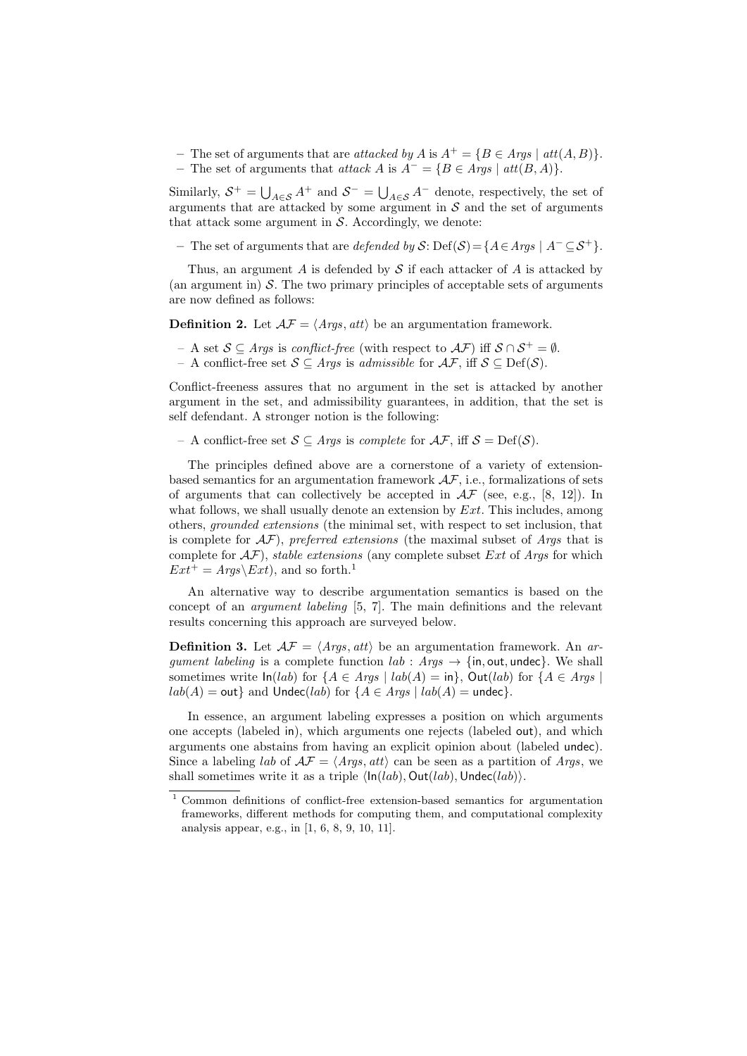- **–** The set of arguments that are *attacked by A* is *A*<sup>+</sup> = *{B ∈ Args | att*(*A, B*)*}*.
- **–** The set of arguments that *attack A* is *A<sup>−</sup>* = *{B ∈ Args | att*(*B, A*)*}*.

Similarly,  $S^+ = \bigcup_{A \in S} A^+$  and  $S^- = \bigcup_{A \in S} A^-$  denote, respectively, the set of arguments that are attacked by some argument in  $S$  and the set of arguments that attack some argument in  $S$ . Accordingly, we denote:

**–** The set of arguments that are *defended by S*: Def(*S*)=*{A∈Args | A<sup>−</sup> ⊆S*<sup>+</sup>*}*.

Thus, an argument *A* is defended by *S* if each attacker of *A* is attacked by (an argument in)  $S$ . The two primary principles of acceptable sets of arguments are now defined as follows:

**Definition 2.** Let  $A\mathcal{F} = \langle \text{Aras}, \text{att} \rangle$  be an argumentation framework.

- A set *S ⊆ Args* is *conflict-free* (with respect to *AF*) iff *S ∩ S*<sup>+</sup> = *∅*.
- A conflict-free set *S ⊆ Args* is *admissible* for *AF*, iff *S ⊆* Def(*S*).

Conflict-freeness assures that no argument in the set is attacked by another argument in the set, and admissibility guarantees, in addition, that the set is self defendant. A stronger notion is the following:

– A conflict-free set *S ⊆ Args* is *complete* for *AF*, iff *S* = Def(*S*).

The principles defined above are a cornerstone of a variety of extensionbased semantics for an argumentation framework *AF*, i.e., formalizations of sets of arguments that can collectively be accepted in  $\mathcal{AF}$  (see, e.g., [8, 12]). In what follows, we shall usually denote an extension by *Ext*. This includes, among others, *grounded extensions* (the minimal set, with respect to set inclusion, that is complete for *AF*), *preferred extensions* (the maximal subset of *Args* that is complete for *AF*), *stable extensions* (any complete subset *Ext* of *Args* for which  $Ext^+ = Args\,xt)$ , and so forth.<sup>1</sup>

An alternative way to describe argumentation semantics is based on the concept of an *argument labeling* [5, 7]. The main definitions and the relevant results concerning this approach are surveyed below.

**Definition 3.** Let  $\mathcal{AF} = \langle \text{Arg} s, \text{att} \rangle$  be an argumentation framework. An *argument labeling* is a complete function  $lab: Args \rightarrow \{in, out, undec\}$ . We shall sometimes write  $\ln(lab)$  for  $\{A \in \text{A}rgs \mid lab(A) = \text{in}\}$ ,  $\text{Out}(lab)$  for  $\{A \in \text{A}rgs \mid$  $lab(A) = \text{out}$ } and  $\text{Under}(lab)$  for  $\{A \in \text{A} \text{rgs} \mid lab(A) = \text{undec}\}.$ 

In essence, an argument labeling expresses a position on which arguments one accepts (labeled in), which arguments one rejects (labeled out), and which arguments one abstains from having an explicit opinion about (labeled undec). Since a labeling *lab* of  $A\mathcal{F} = \langle Args, att \rangle$  can be seen as a partition of *Args*, we shall sometimes write it as a triple  $\langle \ln(lab), \text{Out}(lab), \text{Under}(lab) \rangle$ .

<sup>1</sup> Common definitions of conflict-free extension-based semantics for argumentation frameworks, different methods for computing them, and computational complexity analysis appear, e.g., in [1, 6, 8, 9, 10, 11].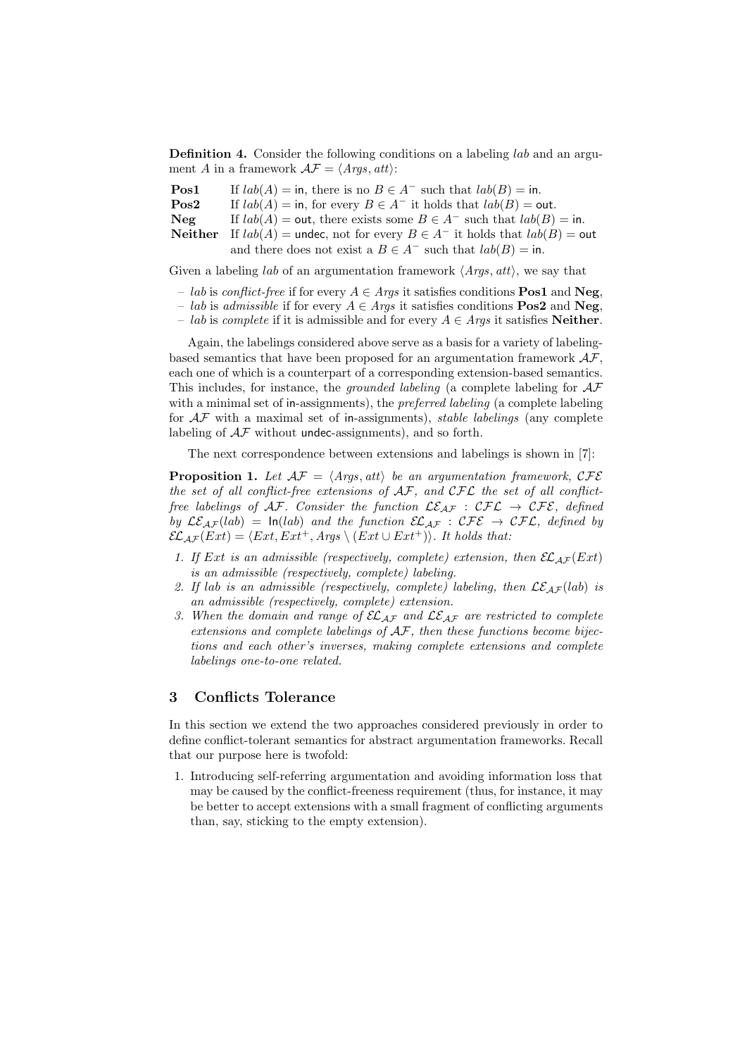**Definition 4.** Consider the following conditions on a labeling *lab* and an argument *A* in a framework  $\mathcal{AF} = \langle \textit{Args, att} \rangle$ :

| $\bf{Pos1}$     | If $lab(A) =$ in, there is no $B \in A^-$ such that $lab(B) =$ in.                         |
|-----------------|--------------------------------------------------------------------------------------------|
| $\mathrm{Pos}2$ | If $lab(A) =$ in, for every $B \in A^-$ it holds that $lab(B) =$ out.                      |
| Neg             | If $lab(A) = \text{out}$ , there exists some $B \in A^-$ such that $lab(B) = \text{in}$ .  |
|                 | <b>Neither</b> If $lab(A)$ = undec, not for every $B \in A^-$ it holds that $lab(B)$ = out |
|                 | and there does not exist a $B \in A^-$ such that $lab(B) = \text{in}$ .                    |

Given a labeling *lab* of an argumentation framework *⟨Args, att⟩*, we say that

- *lab* is *conflict-free* if for every *A ∈ Args* it satisfies conditions **Pos1** and **Neg**,
- *lab* is *admissible* if for every *A ∈ Args* it satisfies conditions **Pos2** and **Neg**,
- *lab* is *complete* if it is admissible and for every *A ∈ Args* it satisfies **Neither**.

Again, the labelings considered above serve as a basis for a variety of labelingbased semantics that have been proposed for an argumentation framework *AF*, each one of which is a counterpart of a corresponding extension-based semantics. This includes, for instance, the *grounded labeling* (a complete labeling for *AF* with a minimal set of in-assignments), the *preferred labeling* (a complete labeling for *AF* with a maximal set of in-assignments), *stable labelings* (any complete labeling of  $A\mathcal{F}$  without undec-assignments), and so forth.

The next correspondence between extensions and labelings is shown in [7]:

**Proposition 1.** Let  $\mathcal{AF} = \langle \mathit{Args}, \mathit{att} \rangle$  be an argumentation framework,  $\mathcal{CFE}$ *the set of all conflict-free extensions of AF, and CFL the set of all conflictfree labelings of AF. Consider the function*  $\mathcal{LE}_{AF}$  :  $\mathcal{CFL} \rightarrow \mathcal{CFE}$ *, defined by*  $\mathcal{LE}_{AF}(lab) = \ln(lab)$  *and the function*  $\mathcal{EL}_{AF} : \mathcal{CFE} \rightarrow \mathcal{CFL}$ *, defined by*  $\mathcal{EL}_{\mathcal{AF}}(Ext) = \langle Ext, Ext^+, \mathcal{A} \mathit{rgs} \setminus (Ext \cup Ext^+) \rangle$ *. It holds that:* 

- *1.* If Ext is an admissible (respectively, complete) extension, then  $\mathcal{EL}_{AF}(Ext)$ *is an admissible (respectively, complete) labeling.*
- 2. If lab is an admissible (respectively, complete) labeling, then  $LE_{AF}(lab)$  is *an admissible (respectively, complete) extension.*
- *3. When the domain and range of ELAF and LEAF are restricted to complete extensions and complete labelings of AF, then these functions become bijections and each other's inverses, making complete extensions and complete labelings one-to-one related.*

## **3 Conflicts Tolerance**

In this section we extend the two approaches considered previously in order to define conflict-tolerant semantics for abstract argumentation frameworks. Recall that our purpose here is twofold:

1. Introducing self-referring argumentation and avoiding information loss that may be caused by the conflict-freeness requirement (thus, for instance, it may be better to accept extensions with a small fragment of conflicting arguments than, say, sticking to the empty extension).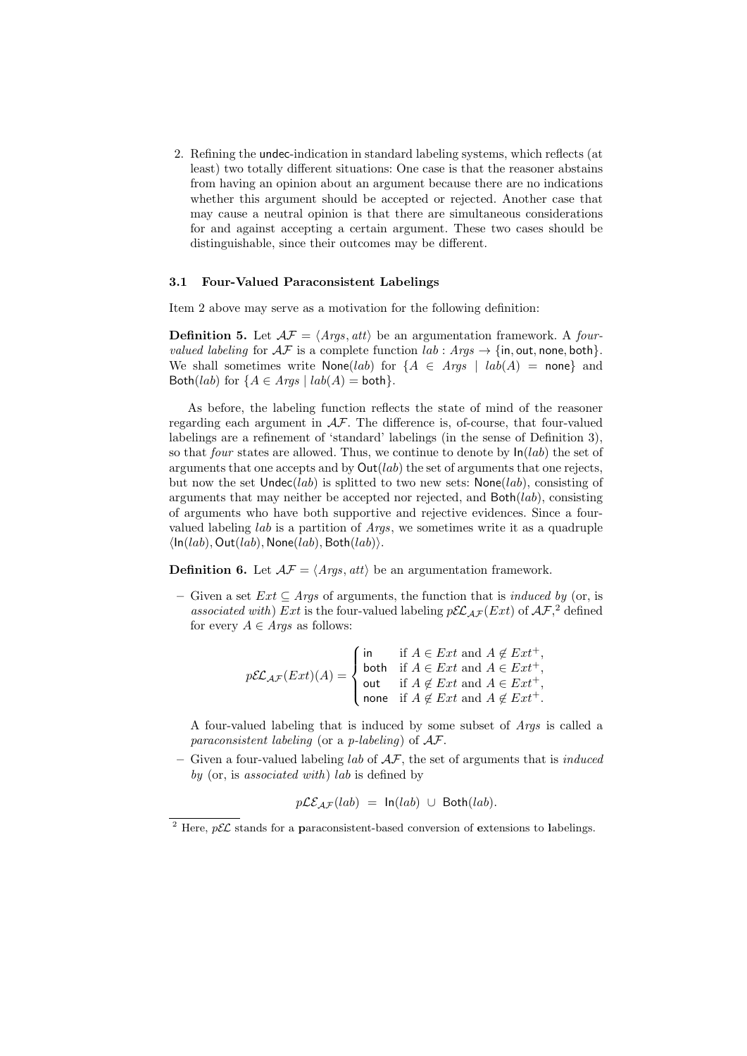2. Refining the undec-indication in standard labeling systems, which reflects (at least) two totally different situations: One case is that the reasoner abstains from having an opinion about an argument because there are no indications whether this argument should be accepted or rejected. Another case that may cause a neutral opinion is that there are simultaneous considerations for and against accepting a certain argument. These two cases should be distinguishable, since their outcomes may be different.

#### **3.1 Four-Valued Paraconsistent Labelings**

Item 2 above may serve as a motivation for the following definition:

**Definition 5.** Let  $A\mathcal{F} = \langle \text{Args}, \text{att} \rangle$  be an argumentation framework. A *fourvalued labeling* for  $\mathcal{AF}$  is a complete function  $lab : \text{Args} \rightarrow \{in, \text{out}, \text{none}, \text{both}\}.$ We shall sometimes write None(*lab*) for  ${A \in Args \mid lab(A) = none}$  and Both(*lab*) for  ${A \in Args \mid lab(A) = both}}$ .

As before, the labeling function reflects the state of mind of the reasoner regarding each argument in *AF*. The difference is, of-course, that four-valued labelings are a refinement of 'standard' labelings (in the sense of Definition 3), so that *four* states are allowed. Thus, we continue to denote by In(*lab*) the set of arguments that one accepts and by  $\text{Out}(lab)$  the set of arguments that one rejects, but now the set Undec(*lab*) is splitted to two new sets: None(*lab*), consisting of arguments that may neither be accepted nor rejected, and Both(*lab*), consisting of arguments who have both supportive and rejective evidences. Since a fourvalued labeling *lab* is a partition of *Args*, we sometimes write it as a quadruple *⟨*In(*lab*)*,* Out(*lab*)*,* None(*lab*)*,* Both(*lab*)*⟩*.

**Definition 6.** Let  $A\mathcal{F} = \langle \text{Args}, \text{att} \rangle$  be an argumentation framework.

**–** Given a set *Ext ⊆ Args* of arguments, the function that is *induced by* (or, is *associated with*) *Ext* is the four-valued labeling  $p\mathcal{EL}_{AF}(Ext)$  of  $\mathcal{AF},^2$  defined for every  $A \in \text{Arg } s$  as follows:

$$
p\mathcal{EL}_{\mathcal{AF}}(Ext)(A) = \begin{cases} \text{in} & \text{if } A \in Ext \text{ and } A \notin Ext^+, \\ \text{both} & \text{if } A \in Ext \text{ and } A \in Ext^+, \\ \text{out} & \text{if } A \notin Ext \text{ and } A \in Ext^+, \\ \text{none} & \text{if } A \notin Ext \text{ and } A \notin Ext^+. \end{cases}
$$

A four-valued labeling that is induced by some subset of *Args* is called a *paraconsistent labeling* (or a *p-labeling*) of *AF*.

**–** Given a four-valued labeling *lab* of *AF*, the set of arguments that is *induced by* (or, is *associated with*) *lab* is defined by

$$
p\mathcal{LE}_{\mathcal{AF}}(lab) = \ln(lab) \cup \text{Both}(lab).
$$

<sup>&</sup>lt;sup>2</sup> Here,  $p\mathcal{EL}$  stands for a **p**araconsistent-based conversion of **e**xtensions to labelings.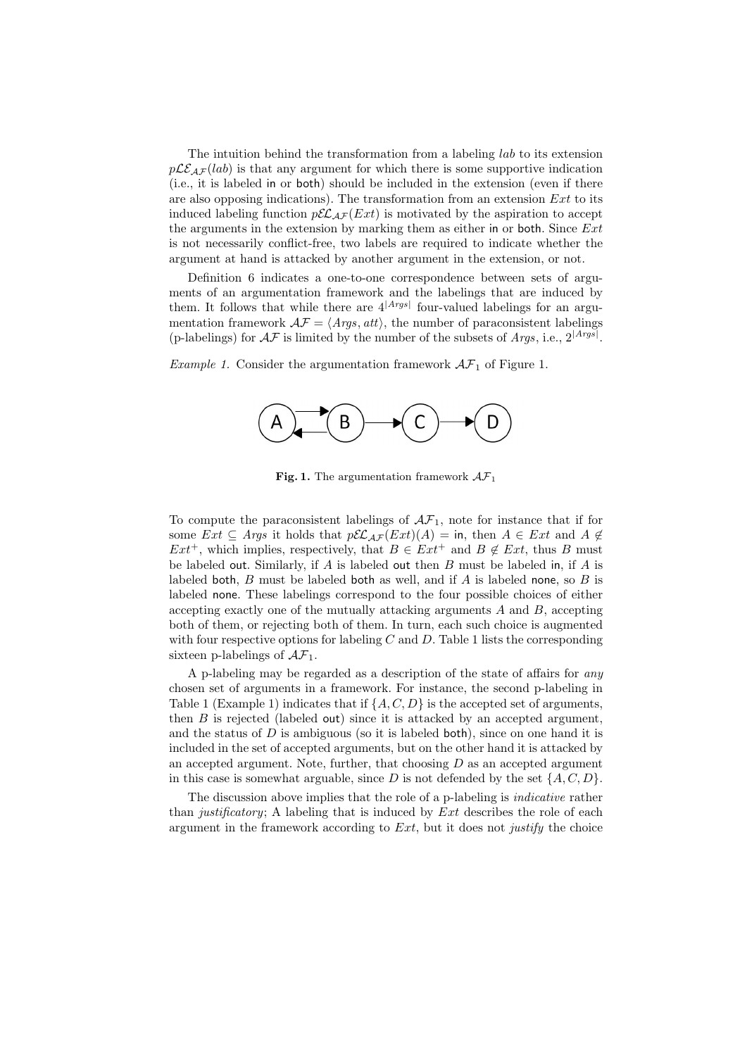The intuition behind the transformation from a labeling *lab* to its extension  $p\mathcal{LE}_{AF}(lab)$  is that any argument for which there is some supportive indication (i.e., it is labeled in or both) should be included in the extension (even if there are also opposing indications). The transformation from an extension *Ext* to its induced labeling function  $p\mathcal{EL}_{AF}(Ext)$  is motivated by the aspiration to accept the arguments in the extension by marking them as either in or both. Since *Ext* is not necessarily conflict-free, two labels are required to indicate whether the argument at hand is attacked by another argument in the extension, or not.

Definition 6 indicates a one-to-one correspondence between sets of arguments of an argumentation framework and the labelings that are induced by them. It follows that while there are  $4^{|\text{Args}|}$  four-valued labelings for an argumentation framework  $\mathcal{AF} = \langle \text{Args}, \text{att} \rangle$ , the number of paraconsistent labelings (p-labelings) for  $\mathcal{AF}$  is limited by the number of the subsets of *Args*, i.e.,  $2^{|Args|}$ .

*Example 1.* Consider the argumentation framework  $\mathcal{AF}_1$  of Figure 1.



**Fig. 1.** The argumentation framework  $A\mathcal{F}_1$ 

To compute the paraconsistent labelings of  $\mathcal{AF}_1$ , note for instance that if for some  $Ext \subseteq \text{Args}$  it holds that  $p\mathcal{EL}_{\mathcal{AF}}(Ext)(A) = \text{in, then } A \in Ext \text{ and } A \notin$ *Ext*<sup>+</sup>, which implies, respectively, that  $B \in Ext^+$  and  $B \notin Ext$ , thus *B* must be labeled out. Similarly, if *A* is labeled out then *B* must be labeled in, if *A* is labeled both, *B* must be labeled both as well, and if *A* is labeled none, so *B* is labeled none. These labelings correspond to the four possible choices of either accepting exactly one of the mutually attacking arguments *A* and *B*, accepting both of them, or rejecting both of them. In turn, each such choice is augmented with four respective options for labeling *C* and *D*. Table 1 lists the corresponding sixteen p-labelings of  $\mathcal{AF}_1$ .

A p-labeling may be regarded as a description of the state of affairs for *any* chosen set of arguments in a framework. For instance, the second p-labeling in Table 1 (Example 1) indicates that if  $\{A, C, D\}$  is the accepted set of arguments, then  $B$  is rejected (labeled out) since it is attacked by an accepted argument, and the status of  $D$  is ambiguous (so it is labeled both), since on one hand it is included in the set of accepted arguments, but on the other hand it is attacked by an accepted argument. Note, further, that choosing *D* as an accepted argument in this case is somewhat arguable, since  $D$  is not defended by the set  $\{A, C, D\}$ .

The discussion above implies that the role of a p-labeling is *indicative* rather than *justificatory*; A labeling that is induced by *Ext* describes the role of each argument in the framework according to *Ext*, but it does not *justify* the choice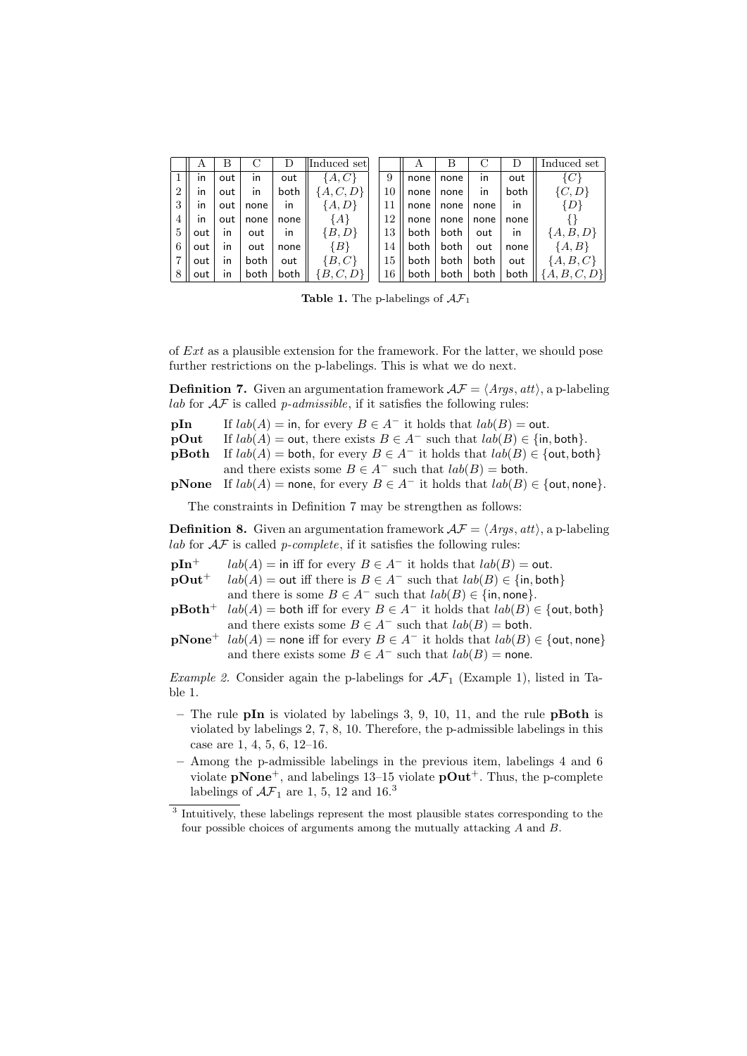|                | А   | В   |      |      | Induced set   |    | А    | В    | С    |              | Induced set    |
|----------------|-----|-----|------|------|---------------|----|------|------|------|--------------|----------------|
|                | ın  | out | ın   | out  | $\{A,C\}$     | 9  | none | none | ın   | out          | $\{C\}$        |
| $\overline{2}$ | ın  | out | ın   | both | $\{A, C, D\}$ | 10 | none | none | ın   | both         | $\{C,D\}$      |
| 3              | ın  | out | none | in   | ${A, D}$      | 11 | none | none | none | $\mathsf{I}$ | $\{D\}$        |
| 4              | ın  | out | none | none | {A}           | 12 | none | none | none | none         |                |
| 5              | out | ın  | out  | in   | ${B,D}$       | 13 | both | both | out  | $\mathsf{I}$ | ${A, B, D}$    |
| 6              | out | ın  | out  | none | $\{B\}$       | 14 | both | both | out  | none         | $\{A,B\}$      |
| 7              | out | ın  | both | out  | $\{B,C\}$     | 15 | both | both | both | out          | ${A, B, C}$    |
| 8              | out | ın  | both | both | ${B, C, D}$   | 16 | both | both | both | both         | ${A, B, C, D}$ |

**Table 1.** The p-labelings of  $AF_1$ 

of *Ext* as a plausible extension for the framework. For the latter, we should pose further restrictions on the p-labelings. This is what we do next.

**Definition 7.** Given an argumentation framework  $\mathcal{AF} = \langle \mathit{Args, att} \rangle$ , a p-labeling *lab* for *AF* is called *p-admissible*, if it satisfies the following rules:

- **pIn** If  $lab(A) =$  in, for every  $B \in A^-$  it holds that  $lab(B) =$  out.
- **pOut** If  $lab(A) = \text{out}$ , there exists  $B \in A^-$  such that  $lab(B) \in \{\text{in}, \text{both}\}.$
- **pBoth** If  $lab(A) =$  both, for every  $B \in A^-$  it holds that  $lab(B) \in \{$ out, both $\}$ and there exists some  $B \in A^-$  such that  $lab(B) =$  both.

**pNone** If  $lab(A)$  = none, for every  $B \in A^-$  it holds that  $lab(B) \in \{$ out, none $\}$ .

The constraints in Definition 7 may be strengthen as follows:

**Definition 8.** Given an argumentation framework  $\mathcal{AF} = \langle \text{Arg} s, \text{att} \rangle$ , a p-labeling *lab* for  $AF$  is called *p-complete*, if it satisfies the following rules:

- **pIn**<sup>+</sup>  $lab(A) =$  in iff for every  $B \in A^-$  it holds that  $lab(B) =$  out.
- $p$ Out<sup>+</sup>  $lab(A) =$  out iff there is  $B \in A^-$  such that  $lab(B) \in \{in, both\}$
- and there is some  $B \in A^-$  such that  $lab(B) \in \{\text{in}, \text{none}\}.$  $p\textbf{Both}^+$   $lab(A) = \text{both}$  iff for every  $B \in A^-$  it holds that  $lab(B) \in \{\text{out}, \text{both}\}$
- and there exists some  $B \in A^-$  such that  $lab(B) =$  both.
- **pNone**<sup>+</sup> *lab*(*A*) = none iff for every  $B \in A^-$  it holds that  $lab(B) \in$  {out, none} and there exists some  $B \in A^-$  such that  $lab(B) =$  none.

*Example 2.* Consider again the p-labelings for  $\mathcal{AF}_1$  (Example 1), listed in Table 1.

- **–** The rule **pIn** is violated by labelings 3, 9, 10, 11, and the rule **pBoth** is violated by labelings 2, 7, 8, 10. Therefore, the p-admissible labelings in this case are 1, 4, 5, 6, 12–16.
- **–** Among the p-admissible labelings in the previous item, labelings 4 and 6 violate  $\bf{pNone}^+$ , and labelings 13–15 violate  $\bf{pOut}^+$ . Thus, the p-complete labelings of  $\mathcal{AF}_1$  are 1, 5, 12 and 16.<sup>3</sup>

<sup>&</sup>lt;sup>3</sup> Intuitively, these labelings represent the most plausible states corresponding to the four possible choices of arguments among the mutually attacking *A* and *B*.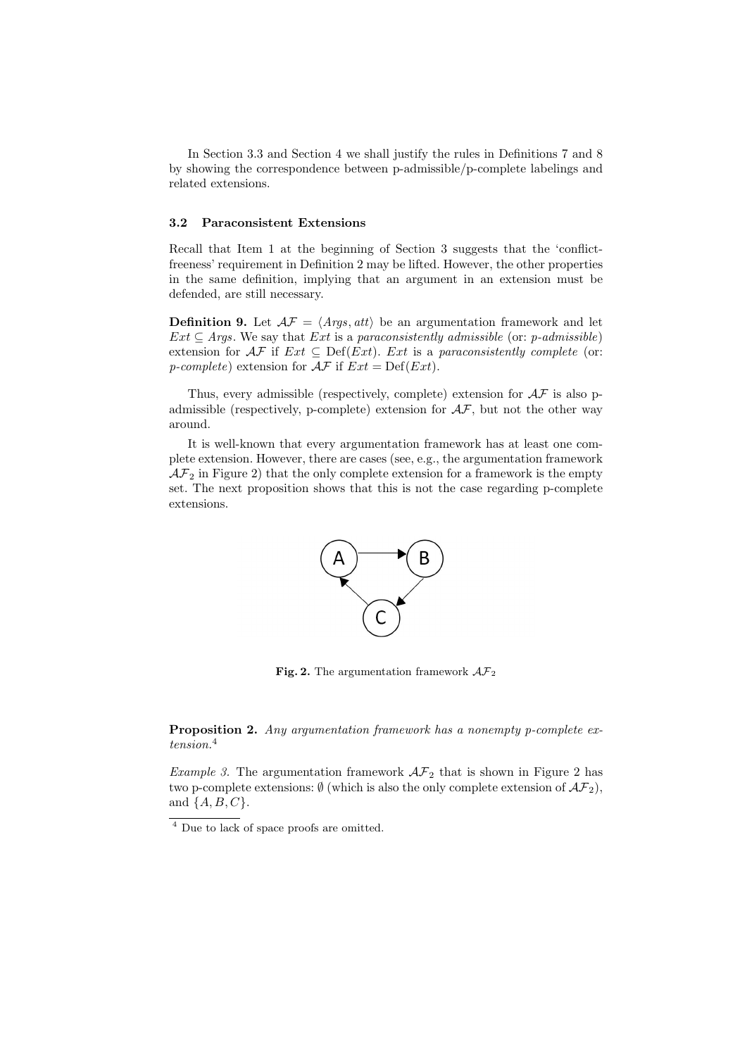In Section 3.3 and Section 4 we shall justify the rules in Definitions 7 and 8 by showing the correspondence between p-admissible/p-complete labelings and related extensions.

### **3.2 Paraconsistent Extensions**

Recall that Item 1 at the beginning of Section 3 suggests that the 'conflictfreeness' requirement in Definition 2 may be lifted. However, the other properties in the same definition, implying that an argument in an extension must be defended, are still necessary.

**Definition 9.** Let  $A\mathcal{F} = \langle Args, att \rangle$  be an argumentation framework and let  $Ext \subseteq Arg.$  We say that *Ext* is a *paraconsistently admissible* (or: *p-admissible*) extension for  $\mathcal{AF}$  if  $Ext \subseteq Def(Ext)$ . *Ext* is a *paraconsistently complete* (or: *p*-complete) extension for  $\mathcal{AF}$  if  $Ext = Def(Ext)$ .

Thus, every admissible (respectively, complete) extension for  $A\mathcal{F}$  is also padmissible (respectively, p-complete) extension for  $A\mathcal{F}$ , but not the other way around.

It is well-known that every argumentation framework has at least one complete extension. However, there are cases (see, e.g., the argumentation framework  $\mathcal{AF}_2$  in Figure 2) that the only complete extension for a framework is the empty set. The next proposition shows that this is not the case regarding p-complete extensions.



**Fig. 2.** The argumentation framework  $AF_2$ 

**Proposition 2.** *Any argumentation framework has a nonempty p-complete extension.*<sup>4</sup>

*Example 3.* The argumentation framework  $\mathcal{AF}_2$  that is shown in Figure 2 has two p-complete extensions:  $\emptyset$  (which is also the only complete extension of  $\mathcal{AF}_2$ ), and *{A, B, C}*.

 $\frac{4}{4}$  Due to lack of space proofs are omitted.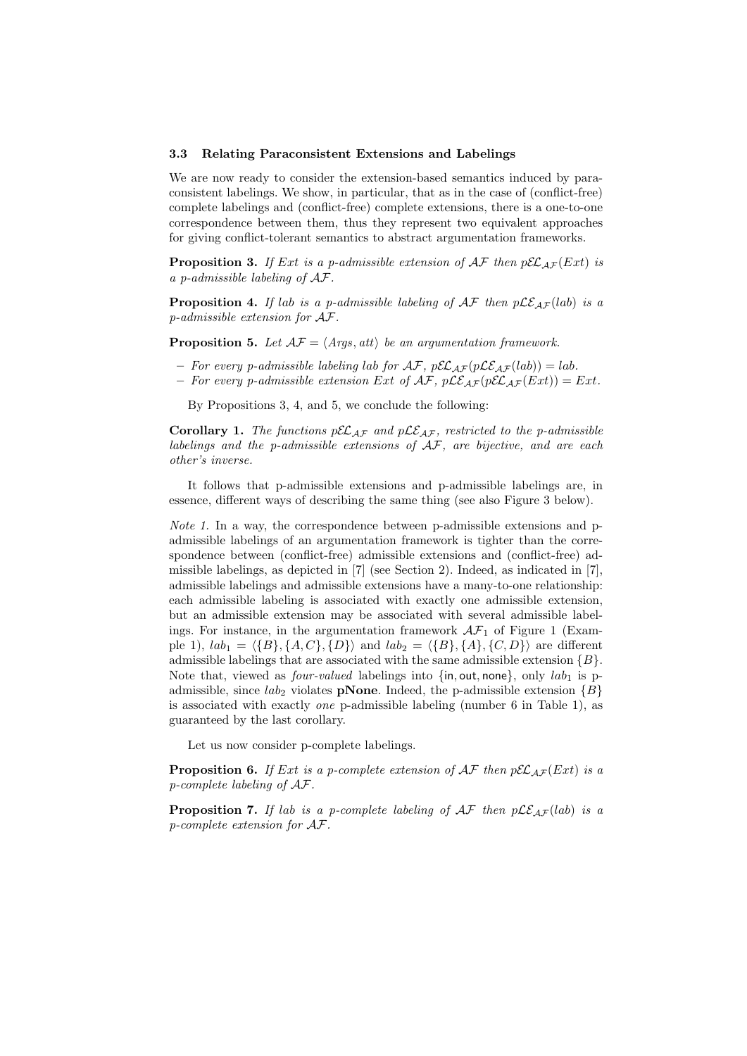#### **3.3 Relating Paraconsistent Extensions and Labelings**

We are now ready to consider the extension-based semantics induced by paraconsistent labelings. We show, in particular, that as in the case of (conflict-free) complete labelings and (conflict-free) complete extensions, there is a one-to-one correspondence between them, thus they represent two equivalent approaches for giving conflict-tolerant semantics to abstract argumentation frameworks.

**Proposition 3.** If Ext is a p-admissible extension of  $\mathcal{AF}$  then  $p\mathcal{EL}_{AF}(Ext)$  is *a p-admissible labeling of AF.*

**Proposition 4.** If lab is a p-admissible labeling of  $AF$  then  $p\mathcal{LE}_{AF}(lab)$  is a *p-admissible extension for AF.*

**Proposition 5.** Let  $\mathcal{AF} = \langle \text{Args}, \text{att} \rangle$  be an argumentation framework.

- $-$  *For every p-admissible labeling lab for*  $\mathcal{AF}$ *,*  $p\mathcal{EL}_{\mathcal{AF}}(p\mathcal{LE}_{\mathcal{AF}}(lab)) = lab$ *.*
- $-$  *For every p-admissible extension Ext of*  $\mathcal{AF}$ *,*  $p\mathcal{LE}_{\mathcal{AF}}(p\mathcal{EL}_{\mathcal{AF}}(Ext)) = Ext$ *.*

By Propositions 3, 4, and 5, we conclude the following:

**Corollary 1.** The functions  $p\mathcal{EL}_{AF}$  and  $p\mathcal{LE}_{AF}$ , restricted to the p-admissible *labelings and the p-admissible extensions of AF, are bijective, and are each other's inverse.*

It follows that p-admissible extensions and p-admissible labelings are, in essence, different ways of describing the same thing (see also Figure 3 below).

*Note 1.* In a way, the correspondence between p-admissible extensions and padmissible labelings of an argumentation framework is tighter than the correspondence between (conflict-free) admissible extensions and (conflict-free) admissible labelings, as depicted in [7] (see Section 2). Indeed, as indicated in [7], admissible labelings and admissible extensions have a many-to-one relationship: each admissible labeling is associated with exactly one admissible extension, but an admissible extension may be associated with several admissible labelings. For instance, in the argumentation framework  $\mathcal{AF}_1$  of Figure 1 (Example 1),  $lab_1 = \{\{B\}, \{A, C\}, \{D\}\}\$ and  $lab_2 = \{\{B\}, \{A\}, \{C, D\}\}\$ are different admissible labelings that are associated with the same admissible extension *{B}*. Note that, viewed as *four-valued* labelings into  $\{\text{in}, \text{out}, \text{none}\},\$  only  $lab_1$  is padmissible, since  $lab_2$  violates **pNone**. Indeed, the p-admissible extension  ${B}$ is associated with exactly *one* p-admissible labeling (number 6 in Table 1), as guaranteed by the last corollary.

Let us now consider p-complete labelings.

**Proposition 6.** If Ext is a p-complete extension of  $\mathcal{AF}$  then  $p\mathcal{EL}_{AF}(Ext)$  is a *p-complete labeling of AF.*

**Proposition 7.** If lab is a p-complete labeling of  $AF$  then  $p\mathcal{LE}_{AF}(lab)$  is a *p-complete extension for AF.*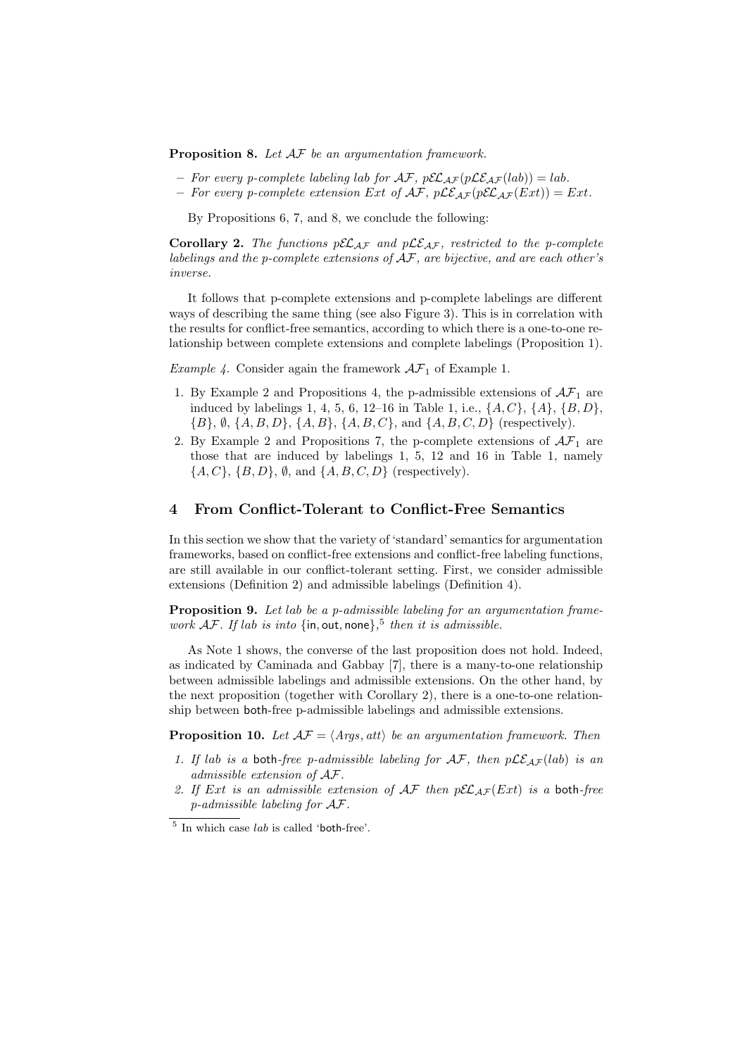**Proposition 8.** *Let AF be an argumentation framework.*

- $-$  *For every p-complete labeling lab for*  $\mathcal{AF}$ *,*  $p\mathcal{EL}_{\mathcal{AF}}(p\mathcal{LE}_{\mathcal{AF}}(lab)) = lab$ *.*
- $-$  *For every p-complete extension Ext of*  $\mathcal{AF}$ *,*  $p\mathcal{LE}_{AF}(p\mathcal{EL}_{AF}(Ext)) = Ext$ *.*

By Propositions 6, 7, and 8, we conclude the following:

**Corollary 2.** The functions  $p\mathcal{EL}_{AF}$  and  $p\mathcal{LE}_{AF}$ , restricted to the p-complete *labelings and the p-complete extensions of AF, are bijective, and are each other's inverse.*

It follows that p-complete extensions and p-complete labelings are different ways of describing the same thing (see also Figure 3). This is in correlation with the results for conflict-free semantics, according to which there is a one-to-one relationship between complete extensions and complete labelings (Proposition 1).

*Example 4.* Consider again the framework  $\mathcal{AF}_1$  of Example 1.

- 1. By Example 2 and Propositions 4, the p-admissible extensions of  $A\mathcal{F}_1$  are induced by labelings 1, 4, 5, 6, 12–16 in Table 1, i.e., *{A, C}*, *{A}*, *{B, D}*, *{B}*, *∅*, *{A, B, D}*, *{A, B}*, *{A, B, C}*, and *{A, B, C, D}* (respectively).
- 2. By Example 2 and Propositions 7, the p-complete extensions of  $A\mathcal{F}_1$  are those that are induced by labelings 1, 5, 12 and 16 in Table 1, namely *{A, C}*, *{B, D}*, *∅*, and *{A, B, C, D}* (respectively).

### **4 From Conflict-Tolerant to Conflict-Free Semantics**

In this section we show that the variety of 'standard' semantics for argumentation frameworks, based on conflict-free extensions and conflict-free labeling functions, are still available in our conflict-tolerant setting. First, we consider admissible extensions (Definition 2) and admissible labelings (Definition 4).

**Proposition 9.** *Let lab be a p-admissible labeling for an argumentation framework AF. If lab is into {*in*,* out*,* none*},* 5 *then it is admissible.*

As Note 1 shows, the converse of the last proposition does not hold. Indeed, as indicated by Caminada and Gabbay [7], there is a many-to-one relationship between admissible labelings and admissible extensions. On the other hand, by the next proposition (together with Corollary 2), there is a one-to-one relationship between both-free p-admissible labelings and admissible extensions.

**Proposition 10.** *Let*  $A\mathcal{F} = \langle Args, att \rangle$  *be an argumentation framework. Then* 

- 1. If lab is a both-free p-admissible labeling for  $AF$ , then  $p\mathcal{LE}_{AF}(lab)$  is an *admissible extension of AF.*
- *2. If Ext is an admissible extension of AF then pELAF* (*Ext*) *is a* both*-free p-admissible labeling for AF.*

<sup>&</sup>lt;sup>5</sup> In which case *lab* is called 'both-free'.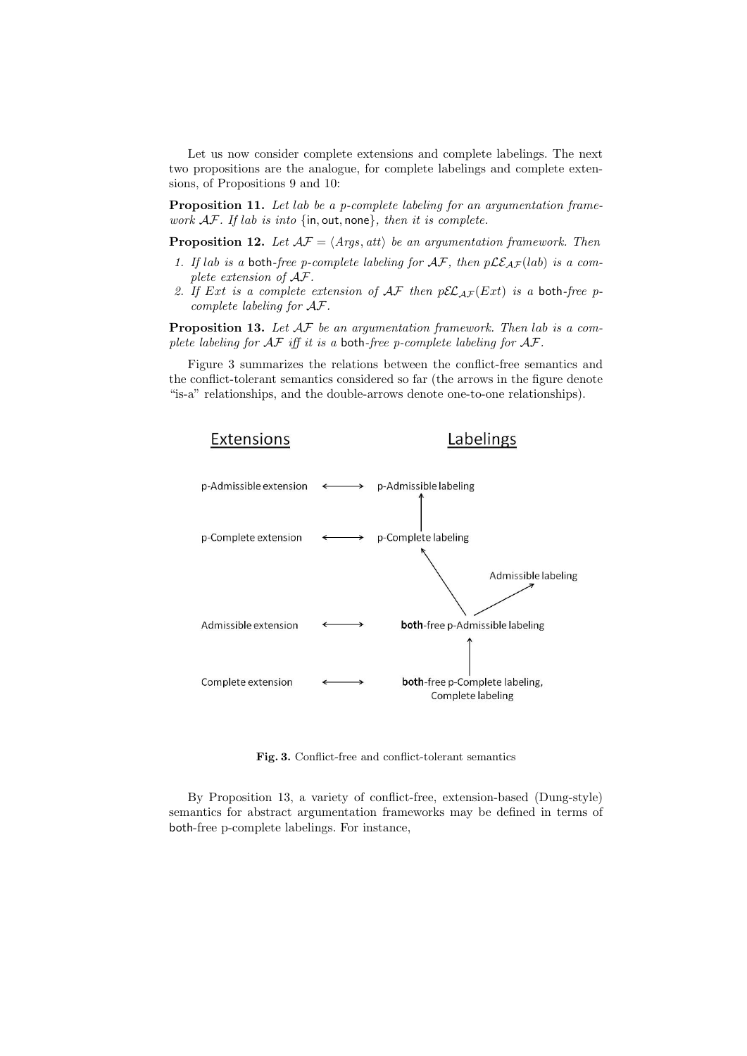Let us now consider complete extensions and complete labelings. The next two propositions are the analogue, for complete labelings and complete extensions, of Propositions 9 and 10:

**Proposition 11.** *Let lab be a p-complete labeling for an argumentation framework AF. If lab is into {*in*,* out*,* none*}, then it is complete.*

**Proposition 12.** Let  $\mathcal{AF} = \langle \text{Args}, \text{att} \rangle$  be an argumentation framework. Then

- 1. If lab is a both-free p-complete labeling for  $AF$ , then  $p\mathcal{LE}_{AF}(lab)$  is a com*plete extension of AF.*
- 2. If Ext is a complete extension of  $AF$  then  $p\mathcal{EL}_{AF}(Ext)$  is a both-free p*complete labeling for AF.*

**Proposition 13.** *Let AF be an argumentation framework. Then lab is a complete labeling for AF iff it is a* both*-free p-complete labeling for AF.*

Figure 3 summarizes the relations between the conflict-free semantics and the conflict-tolerant semantics considered so far (the arrows in the figure denote "is-a" relationships, and the double-arrows denote one-to-one relationships).



**Fig. 3.** Conflict-free and conflict-tolerant semantics

By Proposition 13, a variety of conflict-free, extension-based (Dung-style) semantics for abstract argumentation frameworks may be defined in terms of both-free p-complete labelings. For instance,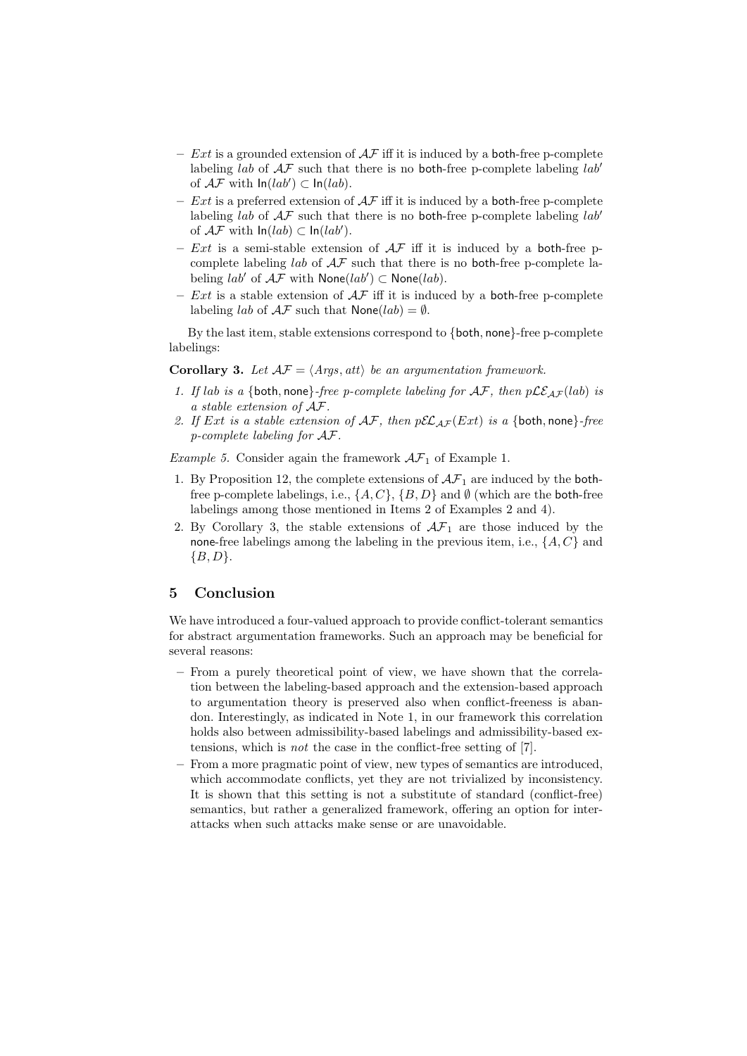- **–** *Ext* is a grounded extension of *AF* iff it is induced by a both-free p-complete labeling *lab* of *AF* such that there is no both-free p-complete labeling *lab′* of  $\mathcal{AF}$  with  $\ln(lab')$  ⊂  $\ln(lab)$ .
- **–** *Ext* is a preferred extension of *AF* iff it is induced by a both-free p-complete labeling *lab* of  $AF$  such that there is no both-free p-complete labeling *lab<sup>'</sup>* of  $\mathcal{AF}$  with  $\ln(lab) \subset \ln(lab')$ .
- $-$  *Ext* is a semi-stable extension of  $A\mathcal{F}$  iff it is induced by a both-free pcomplete labeling *lab* of *AF* such that there is no both-free p-complete la- $\text{beling } lab' \text{ of } \mathcal{AF} \text{ with } \mathsf{None}(lab') \subset \mathsf{None}(lab).$
- $-$  *Ext* is a stable extension of  $A\mathcal{F}$  iff it is induced by a **both-free p-complete** labeling *lab* of  $A\mathcal{F}$  such that  $\textsf{None}(lab) = \emptyset$ .

By the last item, stable extensions correspond to *{*both*,* none*}*-free p-complete labelings:

**Corollary 3.** Let  $\mathcal{AF} = \langle \text{Args}, \text{att} \rangle$  be an argumentation framework.

- 1. If lab is a {both, none}*-free p-complete labeling for*  $AF$ *, then*  $p\mathcal{LE}_{AF}(lab)$  *is a stable extension of AF.*
- *2. If Ext is a stable extension of AF, then pELAF* (*Ext*) *is a {*both*,* none*}-free p-complete labeling for AF.*

*Example 5.* Consider again the framework  $AF_1$  of Example 1.

- 1. By Proposition 12, the complete extensions of  $\mathcal{AF}_1$  are induced by the bothfree p-complete labelings, i.e.,  $\{A, C\}$ ,  $\{B, D\}$  and  $\emptyset$  (which are the both-free labelings among those mentioned in Items 2 of Examples 2 and 4).
- 2. By Corollary 3, the stable extensions of  $\mathcal{AF}_1$  are those induced by the none-free labelings among the labeling in the previous item, i.e., *{A, C}* and *{B, D}*.

## **5 Conclusion**

We have introduced a four-valued approach to provide conflict-tolerant semantics for abstract argumentation frameworks. Such an approach may be beneficial for several reasons:

- **–** From a purely theoretical point of view, we have shown that the correlation between the labeling-based approach and the extension-based approach to argumentation theory is preserved also when conflict-freeness is abandon. Interestingly, as indicated in Note 1, in our framework this correlation holds also between admissibility-based labelings and admissibility-based extensions, which is *not* the case in the conflict-free setting of [7].
- **–** From a more pragmatic point of view, new types of semantics are introduced, which accommodate conflicts, yet they are not trivialized by inconsistency. It is shown that this setting is not a substitute of standard (conflict-free) semantics, but rather a generalized framework, offering an option for interattacks when such attacks make sense or are unavoidable.